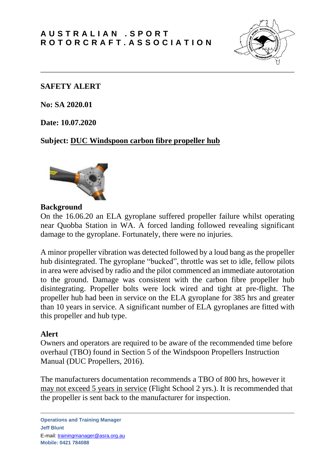

#### **SAFETY ALERT**

**No: SA 2020.01**

**Date: 10.07.2020**

### **Subject: DUC Windspoon carbon fibre propeller hub**



#### **Background**

On the 16.06.20 an ELA gyroplane suffered propeller failure whilst operating near Quobba Station in WA. A forced landing followed revealing significant damage to the gyroplane. Fortunately, there were no injuries.

A minor propeller vibration was detected followed by a loud bang as the propeller hub disintegrated. The gyroplane "bucked", throttle was set to idle, fellow pilots in area were advised by radio and the pilot commenced an immediate autorotation to the ground. Damage was consistent with the carbon fibre propeller hub disintegrating. Propeller bolts were lock wired and tight at pre-flight. The propeller hub had been in service on the ELA gyroplane for 385 hrs and greater than 10 years in service. A significant number of ELA gyroplanes are fitted with this propeller and hub type.

### **Alert**

Owners and operators are required to be aware of the recommended time before overhaul (TBO) found in Section 5 of the Windspoon Propellers Instruction Manual (DUC Propellers, 2016).

The manufacturers documentation recommends a TBO of 800 hrs, however it may not exceed 5 years in service (Flight School 2 yrs.). It is recommended that the propeller is sent back to the manufacturer for inspection.